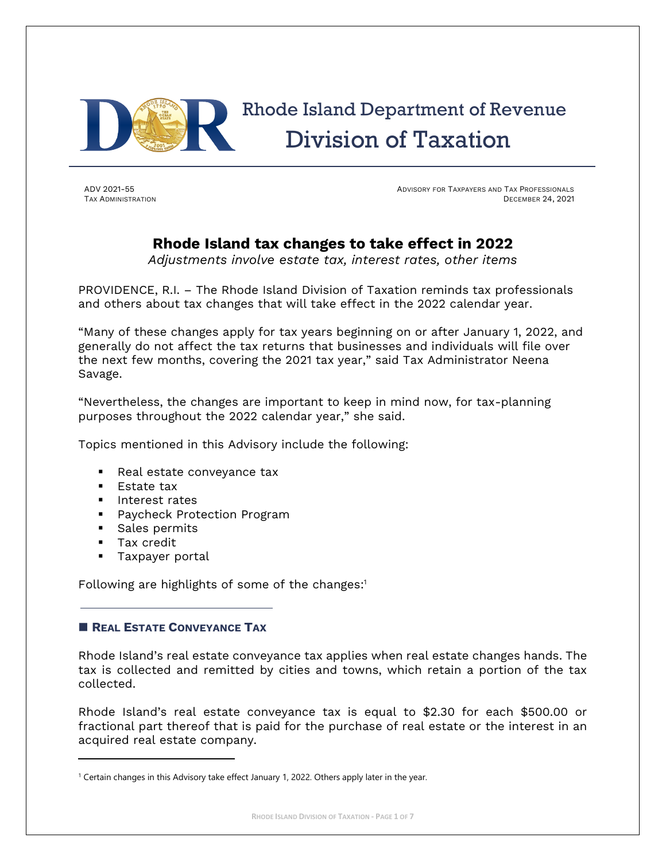

 Rhode Island Department of Revenue Division of Taxation

ADV 2021-55 ADVISORY FOR TAXPAYERS AND TAX PROFESSIONALS TAX ADMINISTRATION DECEMBER 24, 2021

# **Rhode Island tax changes to take effect in 2022**

*Adjustments involve estate tax, interest rates, other items*

PROVIDENCE, R.I. – The Rhode Island Division of Taxation reminds tax professionals and others about tax changes that will take effect in the 2022 calendar year.

"Many of these changes apply for tax years beginning on or after January 1, 2022, and generally do not affect the tax returns that businesses and individuals will file over the next few months, covering the 2021 tax year," said Tax Administrator Neena Savage.

"Nevertheless, the changes are important to keep in mind now, for tax-planning purposes throughout the 2022 calendar year," she said.

Topics mentioned in this Advisory include the following:

- Real estate conveyance tax
- Estate tax
- Interest rates
- Paycheck Protection Program
- Sales permits
- Tax credit
- Taxpayer portal

Following are highlights of some of the changes: $1$ 

# ◼ **REAL ESTATE CONVEYANCE TAX**

Rhode Island's real estate conveyance tax applies when real estate changes hands. The tax is collected and remitted by cities and towns, which retain a portion of the tax collected.

Rhode Island's real estate conveyance tax is equal to \$2.30 for each \$500.00 or fractional part thereof that is paid for the purchase of real estate or the interest in an acquired real estate company.

 $1$  Certain changes in this Advisory take effect January 1, 2022. Others apply later in the year.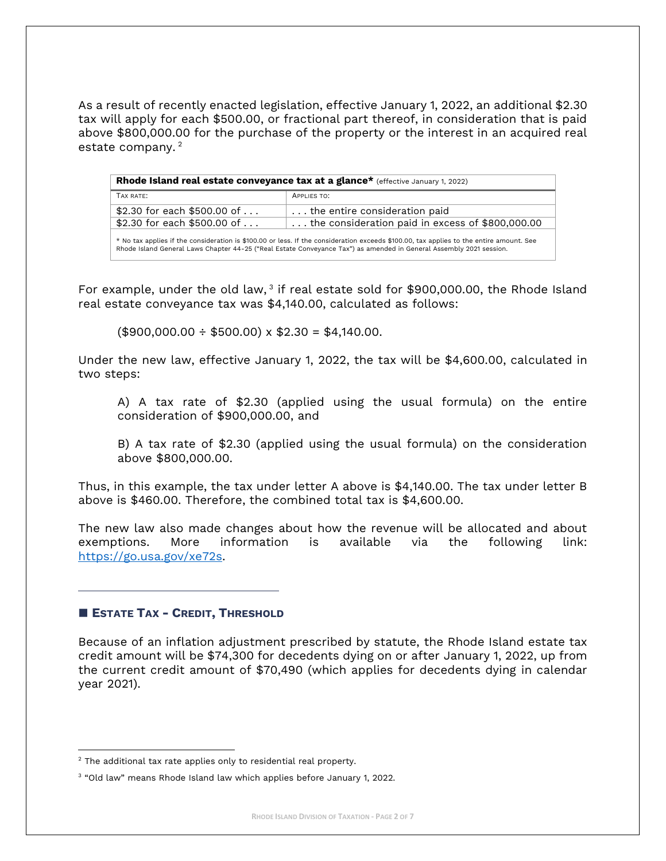As a result of recently enacted legislation, effective January 1, 2022, an additional \$2.30 tax will apply for each \$500.00, or fractional part thereof, in consideration that is paid above \$800,000.00 for the purchase of the property or the interest in an acquired real estate company.<sup>2</sup>

| <b>Rhode Island real estate conveyance tax at a glance*</b> (effective January 1, 2022)                                                                                                                                                                        |                                                  |  |
|----------------------------------------------------------------------------------------------------------------------------------------------------------------------------------------------------------------------------------------------------------------|--------------------------------------------------|--|
| TAX RATE:                                                                                                                                                                                                                                                      | APPLIES TO:                                      |  |
| $$2.30$ for each $$500.00$ of                                                                                                                                                                                                                                  | the entire consideration paid                    |  |
| \$2.30 for each \$500.00 of $\dots$                                                                                                                                                                                                                            | the consideration paid in excess of \$800,000.00 |  |
| * No tax applies if the consideration is \$100.00 or less. If the consideration exceeds \$100.00, tax applies to the entire amount. See<br>Rhode Island General Laws Chapter 44-25 ("Real Estate Conveyance Tax") as amended in General Assembly 2021 session. |                                                  |  |

For example, under the old law, $3$  if real estate sold for \$900,000.00, the Rhode Island real estate conveyance tax was \$4,140.00, calculated as follows:

 $($900,000.00 ÷ $500.00) \times $2.30 = $4,140.00.$ 

Under the new law, effective January 1, 2022, the tax will be \$4,600.00, calculated in two steps:

A) A tax rate of \$2.30 (applied using the usual formula) on the entire consideration of \$900,000.00, and

B) A tax rate of \$2.30 (applied using the usual formula) on the consideration above \$800,000.00.

Thus, in this example, the tax under letter A above is \$4,140.00. The tax under letter B above is \$460.00. Therefore, the combined total tax is \$4,600.00.

The new law also made changes about how the revenue will be allocated and about exemptions. More information is available via the following link: [https://go.usa.gov/xe72s.](https://go.usa.gov/xe72s)

# ◼ **ESTATE TAX - CREDIT, THRESHOLD**

Because of an inflation adjustment prescribed by statute, the Rhode Island estate tax credit amount will be \$74,300 for decedents dying on or after January 1, 2022, up from the current credit amount of \$70,490 (which applies for decedents dying in calendar year 2021).

 $2$  The additional tax rate applies only to residential real property.

<sup>&</sup>lt;sup>3</sup> "Old law" means Rhode Island law which applies before January 1, 2022.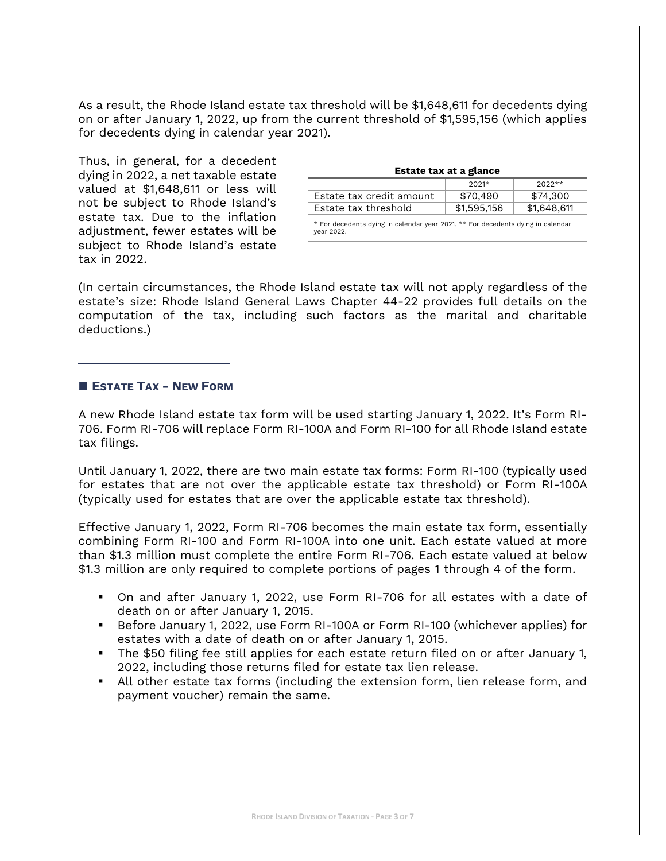As a result, the Rhode Island estate tax threshold will be \$1,648,611 for decedents dying on or after January 1, 2022, up from the current threshold of \$1,595,156 (which applies for decedents dying in calendar year 2021).

Thus, in general, for a decedent dying in 2022, a net taxable estate valued at \$1,648,611 or less will not be subject to Rhode Island's estate tax. Due to the inflation adjustment, fewer estates will be subject to Rhode Island's estate tax in 2022.

| <b>Estate tax at a glance</b>                                                                 |             |             |  |  |
|-----------------------------------------------------------------------------------------------|-------------|-------------|--|--|
|                                                                                               | $2021*$     | $2022**$    |  |  |
| Estate tax credit amount                                                                      | \$70,490    | \$74,300    |  |  |
| Estate tax threshold                                                                          | \$1,595,156 | \$1,648,611 |  |  |
| * For decedents dying in calendar year 2021. ** For decedents dying in calendar<br>year 2022. |             |             |  |  |

(In certain circumstances, the Rhode Island estate tax will not apply regardless of the estate's size: Rhode Island General Laws Chapter 44-22 provides full details on the computation of the tax, including such factors as the marital and charitable deductions.)

#### ◼ **ESTATE TAX - NEW FORM**

A new Rhode Island estate tax form will be used starting January 1, 2022. It's Form RI-706. Form RI-706 will replace Form RI-100A and Form RI-100 for all Rhode Island estate tax filings.

Until January 1, 2022, there are two main estate tax forms: Form RI-100 (typically used for estates that are not over the applicable estate tax threshold) or Form RI-100A (typically used for estates that are over the applicable estate tax threshold).

Effective January 1, 2022, Form RI-706 becomes the main estate tax form, essentially combining Form RI-100 and Form RI-100A into one unit. Each estate valued at more than \$1.3 million must complete the entire Form RI-706. Each estate valued at below \$1.3 million are only required to complete portions of pages 1 through 4 of the form.

- On and after January 1, 2022, use Form RI-706 for all estates with a date of death on or after January 1, 2015.
- Before January 1, 2022, use Form RI-100A or Form RI-100 (whichever applies) for estates with a date of death on or after January 1, 2015.
- The \$50 filing fee still applies for each estate return filed on or after January 1, 2022, including those returns filed for estate tax lien release.
- All other estate tax forms (including the extension form, lien release form, and payment voucher) remain the same.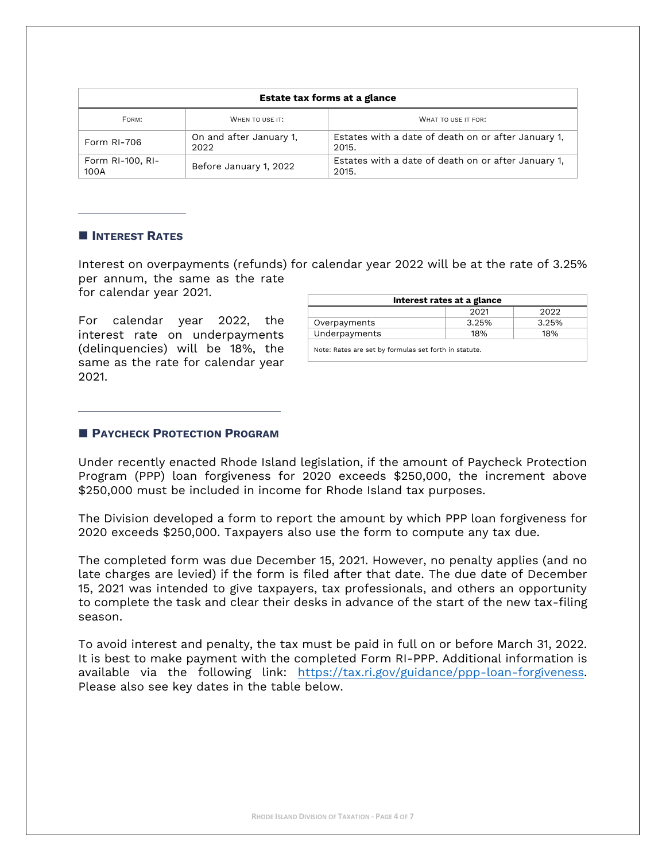| <b>Estate tax forms at a glance</b> |                                 |                                                              |  |  |
|-------------------------------------|---------------------------------|--------------------------------------------------------------|--|--|
| FORM:                               | WHEN TO USE IT:                 | WHAT TO USE IT FOR:                                          |  |  |
| Form RI-706                         | On and after January 1,<br>2022 | Estates with a date of death on or after January 1,<br>2015. |  |  |
| Form RI-100, RI-<br>100A            | Before January 1, 2022          | Estates with a date of death on or after January 1,<br>2015. |  |  |

## ◼ **INTEREST RATES**

Interest on overpayments (refunds) for calendar year 2022 will be at the rate of 3.25% per annum, the same as the rate for calendar year 2021.

For calendar year 2022, the interest rate on underpayments (delinquencies) will be 18%, the same as the rate for calendar year 2021.

| Interest rates at a glance                            |       |       |  |
|-------------------------------------------------------|-------|-------|--|
|                                                       | 2021  | 2022  |  |
| Overpayments                                          | 3.25% | 3.25% |  |
| Underpayments                                         | 18%   | 18%   |  |
| Note: Rates are set by formulas set forth in statute. |       |       |  |

## ◼ **PAYCHECK PROTECTION PROGRAM**

Under recently enacted Rhode Island legislation, if the amount of Paycheck Protection Program (PPP) loan forgiveness for 2020 exceeds \$250,000, the increment above \$250,000 must be included in income for Rhode Island tax purposes.

The Division developed a form to report the amount by which PPP loan forgiveness for 2020 exceeds \$250,000. Taxpayers also use the form to compute any tax due.

The completed form was due December 15, 2021. However, no penalty applies (and no late charges are levied) if the form is filed after that date. The due date of December 15, 2021 was intended to give taxpayers, tax professionals, and others an opportunity to complete the task and clear their desks in advance of the start of the new tax-filing season.

To avoid interest and penalty, the tax must be paid in full on or before March 31, 2022. It is best to make payment with the completed Form RI-PPP. Additional information is available via the following link: [https://tax.ri.gov/guidance/ppp-loan-forgiveness.](https://tax.ri.gov/guidance/ppp-loan-forgiveness) Please also see key dates in the table below.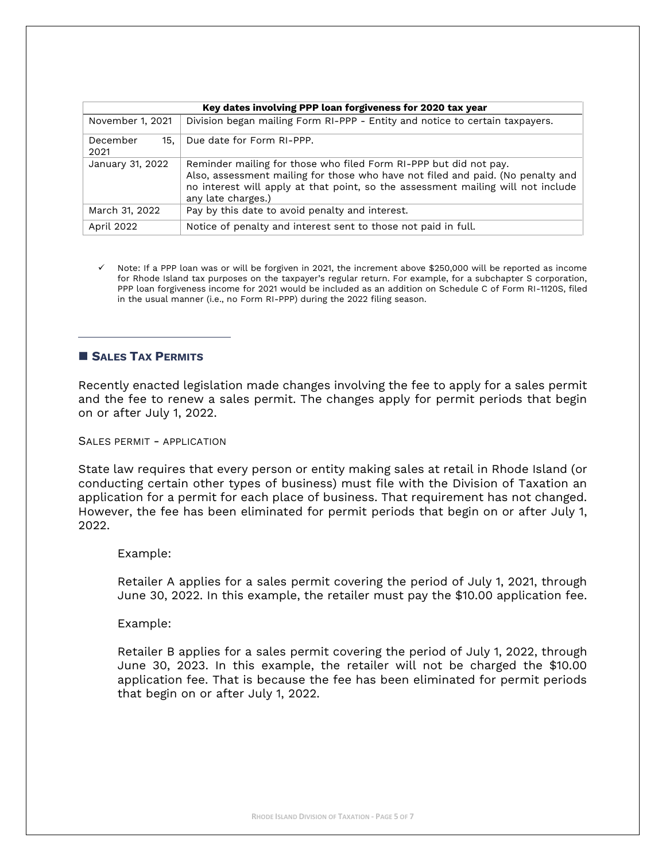| Key dates involving PPP loan forgiveness for 2020 tax year |                                                                                                                                                                                                                                                                |  |
|------------------------------------------------------------|----------------------------------------------------------------------------------------------------------------------------------------------------------------------------------------------------------------------------------------------------------------|--|
| November 1, 2021                                           | Division began mailing Form RI-PPP - Entity and notice to certain taxpayers.                                                                                                                                                                                   |  |
| 15.<br>December<br>2021                                    | Due date for Form RI-PPP.                                                                                                                                                                                                                                      |  |
| January 31, 2022                                           | Reminder mailing for those who filed Form RI-PPP but did not pay.<br>Also, assessment mailing for those who have not filed and paid. (No penalty and<br>no interest will apply at that point, so the assessment mailing will not include<br>any late charges.) |  |
| March 31, 2022                                             | Pay by this date to avoid penalty and interest.                                                                                                                                                                                                                |  |
| April 2022                                                 | Notice of penalty and interest sent to those not paid in full.                                                                                                                                                                                                 |  |

<sup>✓</sup> Note: If a PPP loan was or will be forgiven in 2021, the increment above \$250,000 will be reported as income for Rhode Island tax purposes on the taxpayer's regular return. For example, for a subchapter S corporation, PPP loan forgiveness income for 2021 would be included as an addition on Schedule C of Form RI-1120S, filed in the usual manner (i.e., no Form RI-PPP) during the 2022 filing season.

## ◼ **SALES TAX PERMITS**

Recently enacted legislation made changes involving the fee to apply for a sales permit and the fee to renew a sales permit. The changes apply for permit periods that begin on or after July 1, 2022.

SALES PERMIT - APPLICATION

State law requires that every person or entity making sales at retail in Rhode Island (or conducting certain other types of business) must file with the Division of Taxation an application for a permit for each place of business. That requirement has not changed. However, the fee has been eliminated for permit periods that begin on or after July 1, 2022.

Example:

Retailer A applies for a sales permit covering the period of July 1, 2021, through June 30, 2022. In this example, the retailer must pay the \$10.00 application fee.

Example:

Retailer B applies for a sales permit covering the period of July 1, 2022, through June 30, 2023. In this example, the retailer will not be charged the \$10.00 application fee. That is because the fee has been eliminated for permit periods that begin on or after July 1, 2022.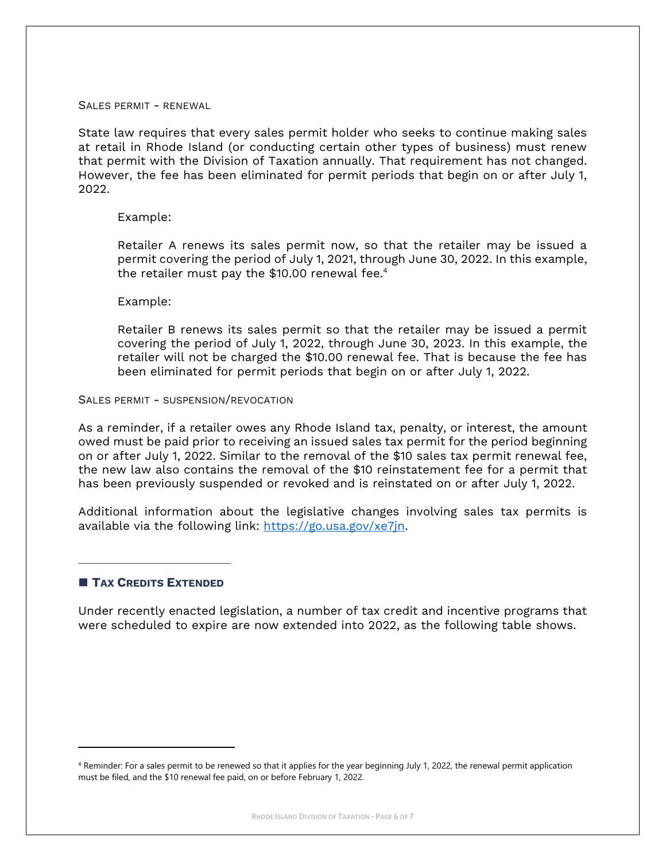SALES PERMIT - RENEWAL

State law requires that every sales permit holder who seeks to continue making sales at retail in Rhode Island (or conducting certain other types of business) must renew that permit with the Division of Taxation annually. That requirement has not changed. However, the fee has been eliminated for permit periods that begin on or after July 1, 2022.

#### Example:

Retailer A renews its sales permit now, so that the retailer may be issued a permit covering the period of July 1, 2021, through June 30, 2022. In this example, the retailer must pay the \$10.00 renewal fee.<sup>4</sup>

#### Example:

Retailer B renews its sales permit so that the retailer may be issued a permit covering the period of July 1, 2022, through June 30, 2023. In this example, the retailer will not be charged the \$10.00 renewal fee. That is because the fee has been eliminated for permit periods that begin on or after July 1, 2022.

#### SALES PERMIT - SUSPENSION/REVOCATION

As a reminder, if a retailer owes any Rhode Island tax, penalty, or interest, the amount owed must be paid prior to receiving an issued sales tax permit for the period beginning on or after July 1, 2022. Similar to the removal of the \$10 sales tax permit renewal fee, the new law also contains the removal of the \$10 reinstatement fee for a permit that has been previously suspended or revoked and is reinstated on or after July 1, 2022.

Additional information about the legislative changes involving sales tax permits is available via the following link: [https://go.usa.gov/xe7jn.](https://go.usa.gov/xe7jn)

### ◼ **TAX CREDITS EXTENDED**

Under recently enacted legislation, a number of tax credit and incentive programs that were scheduled to expire are now extended into 2022, as the following table shows.

<sup>4</sup> Reminder: For a sales permit to be renewed so that it applies for the year beginning July 1, 2022, the renewal permit application must be filed, and the \$10 renewal fee paid, on or before February 1, 2022.